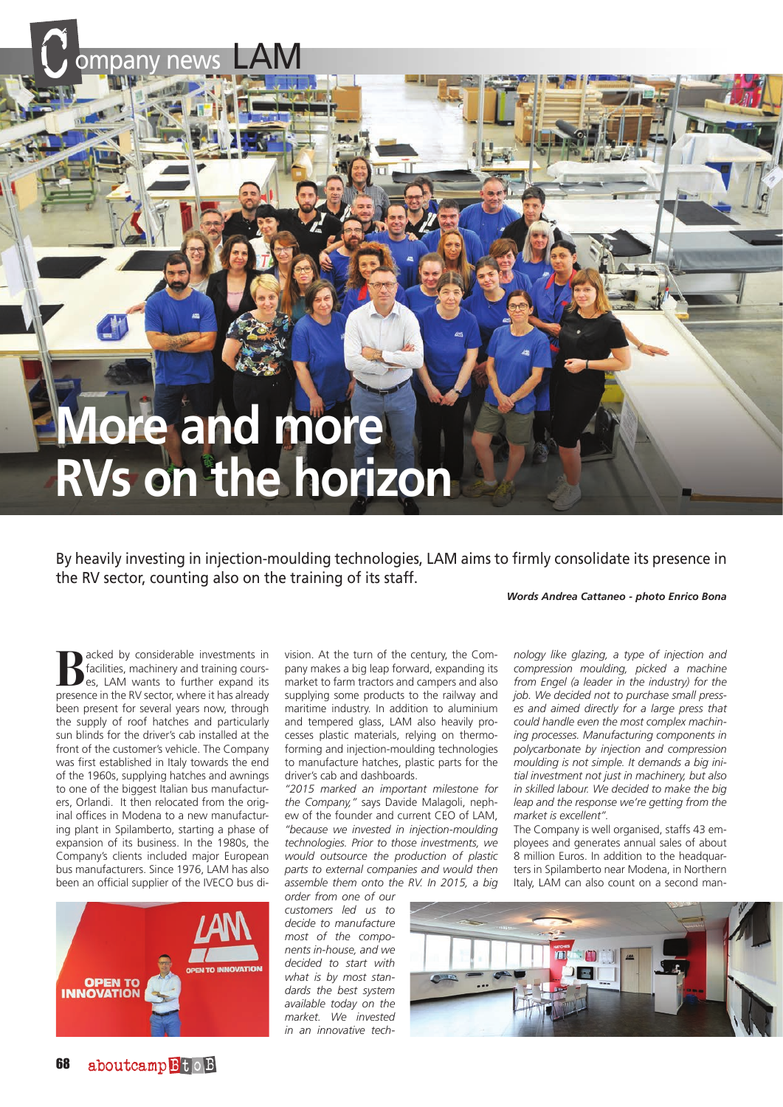## **More and more RVs on the horizon**

By heavily investing in injection-moulding technologies, LAM aims to firmly consolidate its presence in the RV sector, counting also on the training of its staff.

*Words Andrea Cattaneo - photo Enrico Bona*

**B**acked by considerable investments in<br>
es, LAM wants to further expand its<br>
presence in the BV sector where it has already facilities, machinery and training courspresence in the RV sector, where it has already been present for several years now, through the supply of roof hatches and particularly sun blinds for the driver's cab installed at the front of the customer's vehicle. The Company was first established in Italy towards the end of the 1960s, supplying hatches and awnings to one of the biggest Italian bus manufacturers, Orlandi. It then relocated from the original offices in Modena to a new manufacturing plant in Spilamberto, starting a phase of expansion of its business. In the 1980s, the Company's clients included major European bus manufacturers. Since 1976, LAM has also been an official supplier of the IVECO bus di-

C ompany news LAM



vision. At the turn of the century, the Company makes a big leap forward, expanding its market to farm tractors and campers and also supplying some products to the railway and maritime industry. In addition to aluminium and tempered glass, LAM also heavily processes plastic materials, relying on thermoforming and injection-moulding technologies to manufacture hatches, plastic parts for the driver's cab and dashboards.

*"2015 marked an important milestone for the Company,"* says Davide Malagoli, nephew of the founder and current CEO of LAM, *"because we invested in injection-moulding technologies. Prior to those investments, we would outsource the production of plastic parts to external companies and would then assemble them onto the RV. In 2015, a big* 

*order from one of our customers led us to decide to manufacture most of the components in-house, and we decided to start with what is by most standards the best system available today on the market. We invested in an innovative tech-*

*nology like glazing, a type of injection and compression moulding, picked a machine from Engel (a leader in the industry) for the job. We decided not to purchase small presses and aimed directly for a large press that could handle even the most complex machining processes. Manufacturing components in polycarbonate by injection and compression moulding is not simple. It demands a big initial investment not just in machinery, but also in skilled labour. We decided to make the big leap and the response we're getting from the market is excellent".*

The Company is well organised, staffs 43 employees and generates annual sales of about 8 million Euros. In addition to the headquarters in Spilamberto near Modena, in Northern Italy, LAM can also count on a second man-